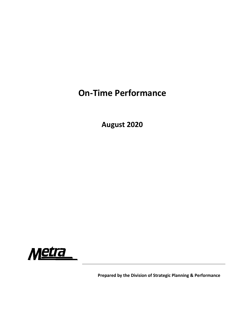## **On‐Time Performance**

**August 2020**



**Prepared by the Division of Strategic Planning & Performance**